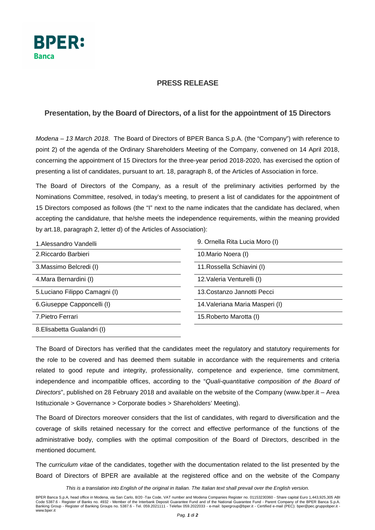

## **PRESS RELEASE**

## **Presentation, by the Board of Directors, of a list for the appointment of 15 Directors**

Modena – 13 March 2018. The Board of Directors of BPER Banca S.p.A. (the "Company") with reference to point 2) of the agenda of the Ordinary Shareholders Meeting of the Company, convened on 14 April 2018, concerning the appointment of 15 Directors for the three-year period 2018-2020, has exercised the option of presenting a list of candidates, pursuant to art. 18, paragraph 8, of the Articles of Association in force.

The Board of Directors of the Company, as a result of the preliminary activities performed by the Nominations Committee, resolved, in today's meeting, to present a list of candidates for the appointment of 15 Directors composed as follows (the "I" next to the name indicates that the candidate has declared, when accepting the candidature, that he/she meets the independence requirements, within the meaning provided by art.18, paragraph 2, letter d) of the Articles of Association):

| 1. Alessandro Vandelli         | 9. Ornella Rita Lucia Moro (I)  |
|--------------------------------|---------------------------------|
| 2. Riccardo Barbieri           | 10. Mario Noera (I)             |
| 3. Massimo Belcredi (I)        | 11. Rossella Schiavini (I)      |
| 4. Mara Bernardini (I)         | 12. Valeria Venturelli (I)      |
| 5. Luciano Filippo Camagni (I) | 13. Costanzo Jannotti Pecci     |
| 6. Giuseppe Capponcelli (I)    | 14. Valeriana Maria Masperi (I) |
| 7. Pietro Ferrari              | 15. Roberto Marotta (I)         |
| 8. Elisabetta Gualandri (I)    |                                 |

The Board of Directors has verified that the candidates meet the regulatory and statutory requirements for the role to be covered and has deemed them suitable in accordance with the requirements and criteria related to good repute and integrity, professionality, competence and experience, time commitment, independence and incompatible offices, according to the "Quali-quantitative composition of the Board of Directors", published on 28 February 2018 and available on the website of the Company (www.bper.it – Area Istituzionale > Governance > Corporate bodies > Shareholders' Meeting).

The Board of Directors moreover considers that the list of candidates, with regard to diversification and the coverage of skills retained necessary for the correct and effective performance of the functions of the administrative body, complies with the optimal composition of the Board of Directors, described in the mentioned document.

The curriculum vitae of the candidates, together with the documentation related to the list presented by the Board of Directors of BPER are available at the registered office and on the website of the Company

This is a translation into English of the original in Italian. The Italian text shall prevail over the English version.

BPER Banca S.p.A, head office in Modena, via San Carlo, 8/20 -Tax Code, VAT number and Modena Companies Register no. 01153230360 - Share capital Euro 1,443,925,305 ABI<br>Code 5387.6 - Register of Banks no. 4932 - Member of t Banking Group - Register of Banking Groups no. 5387.6 - Tel. 059.2021111 - Telefax 059.2022033 - e-mail: bpergroup@bper.it - Certified e-mail (PEC): bper@pec.gruppobper.it www.bper.it